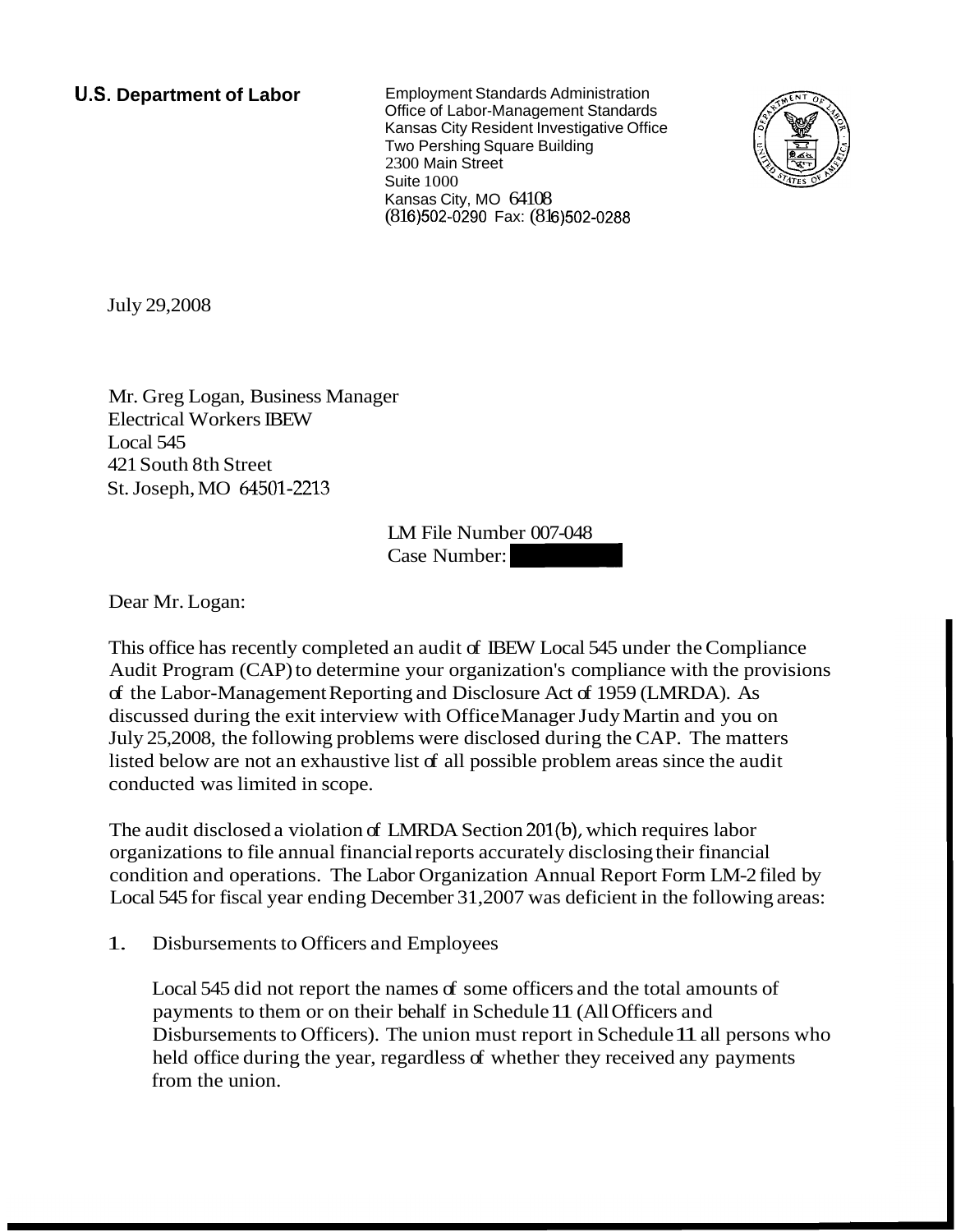**U.S. Department of Labor** Employment Standards Administration Office of Labor-Management Standards Kansas City Resident Investigative Office Two Pershing Square Building 2300 Main Street Suite 1000 Kansas City, MO 64108 (816) 502-0290 Fax: (816) 502-0288



July 29,2008

Mr. Greg Logan, Business Manager Electrical Workers IBEW Local 545 421 South 8th Street St. Joseph, MO 64501-2213

LM File Number 007-048 er<br>LM File Number 007-048<br>Case Number:

Dear Mr. Logan:

This office has recently completed an audit of IBEW Local 545 under the Compliance Audit Program (CAP) to determine your organization's compliance with the provisions of the Labor-Management Reporting and Disclosure Act of 1959 (LMRDA). As discussed during the exit interview with Office Manager Judy Martin and you on July 25,2008, the following problems were disclosed during the CAP. The matters listed below are not an exhaustive list of all possible problem areas since the audit conducted was limited in scope.

The audit disclosed a violation of LMRDA Section 201(b), which requires labor organizations to file annual financial reports accurately disclosing their financial condition and operations. The Labor Organization Annual Report Form LM-2 filed by Local 545 for fiscal year ending December 31,2007 was deficient in the following areas:

1. Disbursements to Officers and Employees

Local 545 did not report the names of some officers and the total amounts of payments to them or on their behalf in Schedule 11 (All Officers and Disbursements to Officers). The union must report in Schedule 11 all persons who held office during the year, regardless of whether they received any payments from the union.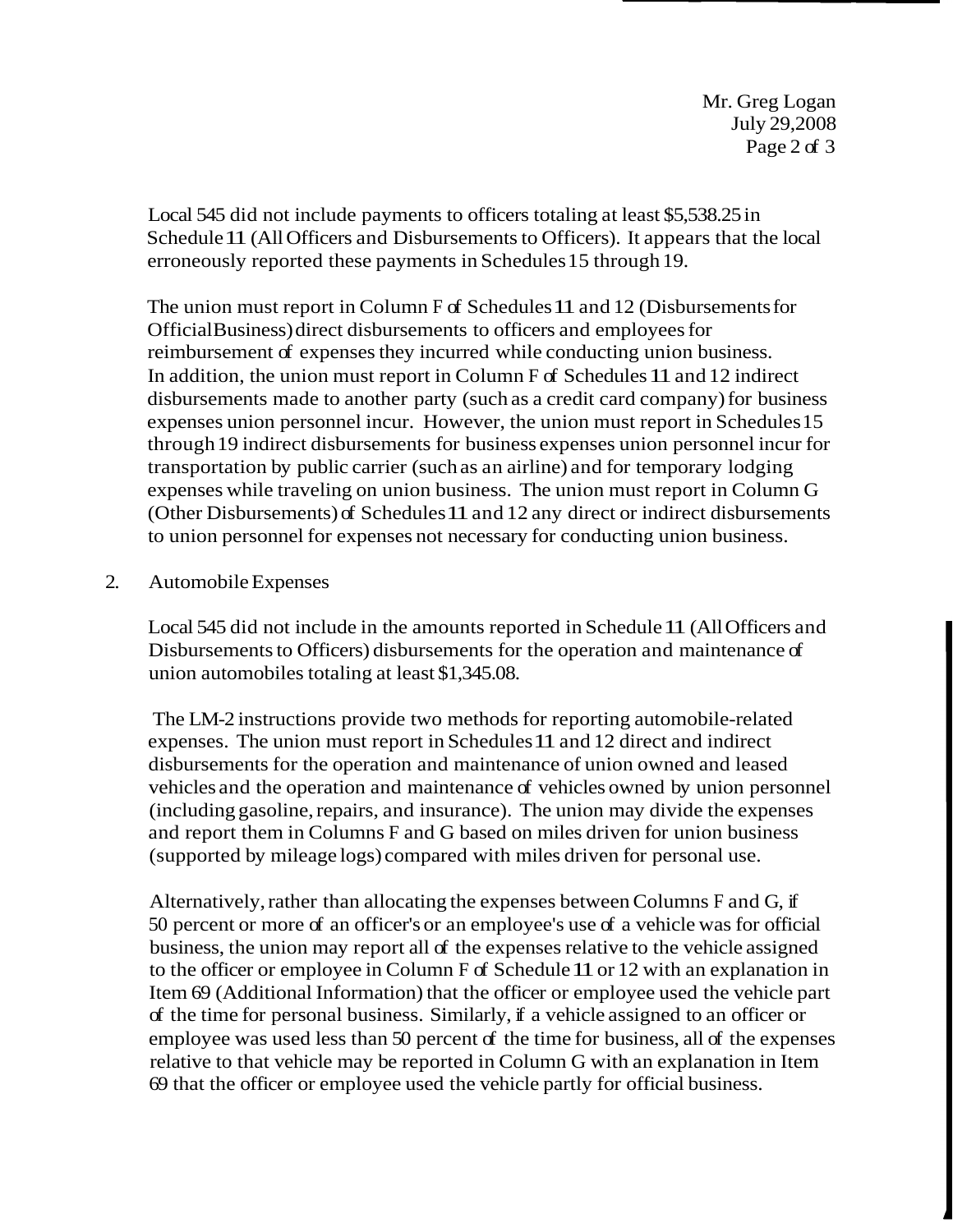Local 545 did not include payments to officers totaling at least \$5,538.25 in Schedule 11 (All Officers and Disbursements to Officers). It appears that the local erroneously reported these payments in Schedules 15 through 19.

The union must report in Column F of Schedules 11 and 12 (Disbursements for Official Business) direct disbursements to officers and employees for reimbursement of expenses they incurred while conducting union business. In addition, the union must report in Column F of Schedules 11 and 12 indirect disbursements made to another party (such as a credit card company) for business expenses union personnel incur. However, the union must report in Schedules 15 through 19 indirect disbursements for business expenses union personnel incur for transportation by public carrier (such as an airline) and for temporary lodging expenses while traveling on union business. The union must report in Column G (Other Disbursements) of Schedules 11 and 12 any direct or indirect disbursements to union personnel for expenses not necessary for conducting union business.

## 2. Automobile Expenses

Local 545 did not include in the amounts reported in Schedule 11 (All Officers and Disbursements to Officers) disbursements for the operation and maintenance of union automobiles totaling at least \$1,345.08.

The LM-2 instructions provide two methods for reporting automobile-related expenses. The union must report in Schedules 11 and 12 direct and indirect disbursements for the operation and maintenance of union owned and leased vehicles and the operation and maintenance of vehicles owned by union personnel (including gasoline, repairs, and insurance). The union may divide the expenses and report them in Columns F and G based on miles driven for union business (supported by mileage logs) compared with miles driven for personal use.

Alternatively, rather than allocating the expenses between Columns F and G, if 50 percent or more of an officer's or an employee's use of a vehicle was for official business, the union may report all of the expenses relative to the vehicle assigned to the officer or employee in Column F of Schedule 11 or 12 with an explanation in Item 69 (Additional Information) that the officer or employee used the vehicle part of the time for personal business. Similarly, if a vehicle assigned to an officer or employee was used less than 50 percent of the time for business, all of the expenses relative to that vehicle may be reported in Column G with an explanation in Item 69 that the officer or employee used the vehicle partly for official business.